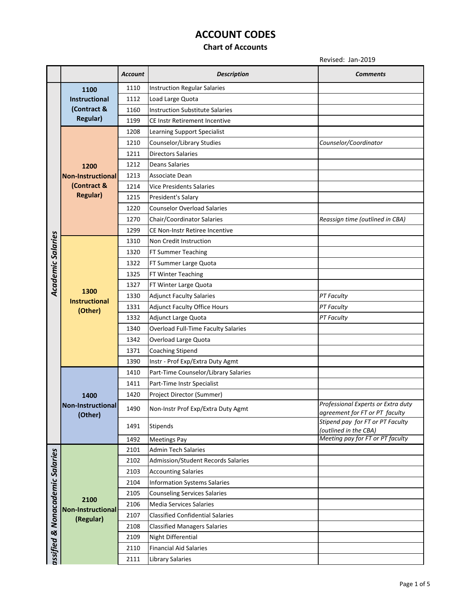### **Chart of Accounts**

|                                 |                                               | <b>Account</b> | <b>Description</b>                      | <b>Comments</b>                                                      |
|---------------------------------|-----------------------------------------------|----------------|-----------------------------------------|----------------------------------------------------------------------|
|                                 | 1100                                          | 1110           | <b>Instruction Regular Salaries</b>     |                                                                      |
|                                 | <b>Instructional</b>                          | 1112           | Load Large Quota                        |                                                                      |
|                                 | (Contract &                                   | 1160           | <b>Instruction Substitute Salaries</b>  |                                                                      |
|                                 | <b>Regular)</b>                               | 1199           | CE Instr Retirement Incentive           |                                                                      |
|                                 |                                               | 1208           | Learning Support Specialist             |                                                                      |
|                                 |                                               | 1210           | Counselor/Library Studies               | Counselor/Coordinator                                                |
|                                 |                                               | 1211           | <b>Directors Salaries</b>               |                                                                      |
|                                 | 1200                                          | 1212           | <b>Deans Salaries</b>                   |                                                                      |
|                                 | <b>Non-Instructional</b>                      | 1213           | Associate Dean                          |                                                                      |
|                                 | (Contract &                                   | 1214           | <b>Vice Presidents Salaries</b>         |                                                                      |
|                                 | <b>Regular)</b>                               | 1215           | President's Salary                      |                                                                      |
|                                 |                                               | 1220           | <b>Counselor Overload Salaries</b>      |                                                                      |
|                                 |                                               | 1270           | Chair/Coordinator Salaries              | Reassign time (outlined in CBA)                                      |
|                                 |                                               | 1299           | CE Non-Instr Retiree Incentive          |                                                                      |
| <b>Academic Salaries</b>        |                                               | 1310           | Non Credit Instruction                  |                                                                      |
|                                 |                                               | 1320           | FT Summer Teaching                      |                                                                      |
|                                 |                                               | 1322           | FT Summer Large Quota                   |                                                                      |
|                                 |                                               | 1325           | FT Winter Teaching                      |                                                                      |
|                                 |                                               | 1327           | FT Winter Large Quota                   |                                                                      |
|                                 | 1300<br><b>Instructional</b><br>(Other)       | 1330           | <b>Adjunct Faculty Salaries</b>         | <b>PT Faculty</b>                                                    |
|                                 |                                               | 1331           | <b>Adjunct Faculty Office Hours</b>     | PT Faculty                                                           |
|                                 |                                               | 1332           | Adjunct Large Quota                     | PT Faculty                                                           |
|                                 |                                               | 1340           | Overload Full-Time Faculty Salaries     |                                                                      |
|                                 |                                               | 1342           | Overload Large Quota                    |                                                                      |
|                                 |                                               | 1371           | <b>Coaching Stipend</b>                 |                                                                      |
|                                 |                                               | 1390           | Instr - Prof Exp/Extra Duty Agmt        |                                                                      |
|                                 |                                               | 1410           | Part-Time Counselor/Library Salaries    |                                                                      |
|                                 | 1400<br>Non-Instructional<br>(Other)          | 1411           | Part-Time Instr Specialist              |                                                                      |
|                                 |                                               | 1420           | Project Director (Summer)               |                                                                      |
|                                 |                                               | 1490           | Non-Instr Prof Exp/Extra Duty Agmt      | Professional Experts or Extra duty<br>agreement for FT or PT faculty |
|                                 |                                               | 1491           | Stipends                                | Stipend pay for FT or PT Faculty<br>(outlined in the CBA)            |
|                                 |                                               | 1492           | <b>Meetings Pay</b>                     | Meeting pay for FT or PT faculty                                     |
|                                 |                                               | 2101           | <b>Admin Tech Salaries</b>              |                                                                      |
|                                 |                                               | 2102           | Admission/Student Records Salaries      |                                                                      |
|                                 |                                               | 2103           | <b>Accounting Salaries</b>              |                                                                      |
|                                 | 2100<br><b>Non-Instructional</b><br>(Regular) | 2104           | <b>Information Systems Salaries</b>     |                                                                      |
| assified & Nonacademic Salaries |                                               | 2105           | <b>Counseling Services Salaries</b>     |                                                                      |
|                                 |                                               | 2106           | Media Services Salaries                 |                                                                      |
|                                 |                                               | 2107           | <b>Classified Confidential Salaries</b> |                                                                      |
|                                 |                                               | 2108           | <b>Classified Managers Salaries</b>     |                                                                      |
|                                 |                                               | 2109           | Night Differential                      |                                                                      |
|                                 |                                               | 2110           | <b>Financial Aid Salaries</b>           |                                                                      |
|                                 |                                               | 2111           | Library Salaries                        |                                                                      |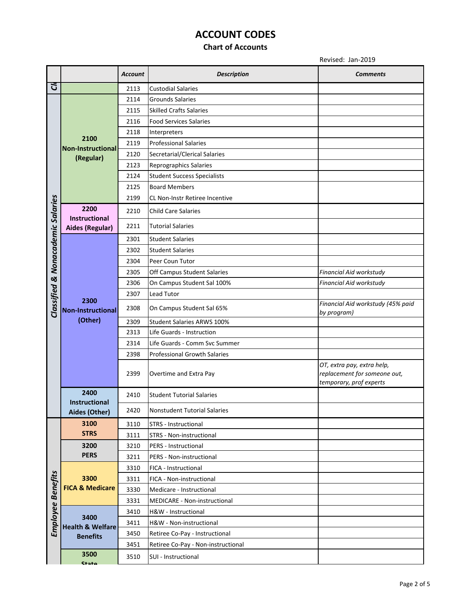### **Chart of Accounts**

|                                   |                                               | <b>Account</b> | <b>Description</b>                  | <b>Comments</b>                                                                       |
|-----------------------------------|-----------------------------------------------|----------------|-------------------------------------|---------------------------------------------------------------------------------------|
| Ğ                                 |                                               | 2113           | <b>Custodial Salaries</b>           |                                                                                       |
|                                   | 2100<br><b>Non-Instructional</b><br>(Regular) | 2114           | <b>Grounds Salaries</b>             |                                                                                       |
|                                   |                                               | 2115           | <b>Skilled Crafts Salaries</b>      |                                                                                       |
|                                   |                                               | 2116           | <b>Food Services Salaries</b>       |                                                                                       |
|                                   |                                               | 2118           | Interpreters                        |                                                                                       |
|                                   |                                               | 2119           | <b>Professional Salaries</b>        |                                                                                       |
|                                   |                                               | 2120           | Secretarial/Clerical Salaries       |                                                                                       |
|                                   |                                               | 2123           | Reprographics Salaries              |                                                                                       |
|                                   |                                               | 2124           | <b>Student Success Specialists</b>  |                                                                                       |
|                                   |                                               | 2125           | <b>Board Members</b>                |                                                                                       |
|                                   |                                               | 2199           | CL Non-Instr Retiree Incentive      |                                                                                       |
| Classified & Nonacademic Salaries | 2200<br>Instructional                         | 2210           | <b>Child Care Salaries</b>          |                                                                                       |
|                                   | <b>Aides (Regular)</b>                        | 2211           | <b>Tutorial Salaries</b>            |                                                                                       |
|                                   |                                               | 2301           | <b>Student Salaries</b>             |                                                                                       |
|                                   |                                               | 2302           | <b>Student Salaries</b>             |                                                                                       |
|                                   |                                               | 2304           | Peer Coun Tutor                     |                                                                                       |
|                                   |                                               | 2305           | Off Campus Student Salaries         | Financial Aid workstudy                                                               |
|                                   |                                               | 2306           | On Campus Student Sal 100%          | Financial Aid workstudy                                                               |
|                                   | 2300<br>Non-Instructional<br>(Other)          | 2307           | Lead Tutor                          |                                                                                       |
|                                   |                                               | 2308           | On Campus Student Sal 65%           | Financial Aid workstudy (45% paid<br>by program)                                      |
|                                   |                                               | 2309           | <b>Student Salaries ARWS 100%</b>   |                                                                                       |
|                                   |                                               | 2313           | Life Guards - Instruction           |                                                                                       |
|                                   |                                               | 2314           | Life Guards - Comm Syc Summer       |                                                                                       |
|                                   |                                               | 2398           | <b>Professional Growth Salaries</b> |                                                                                       |
|                                   |                                               | 2399           | Overtime and Extra Pay              | OT, extra pay, extra help,<br>replacement for someone out,<br>temporary, prof experts |
|                                   | 2400                                          | 2410           | <b>Student Tutorial Salaries</b>    |                                                                                       |
|                                   | <b>Instructional</b><br>Aides (Other)         | 2420           | <b>Nonstudent Tutorial Salaries</b> |                                                                                       |
|                                   | 3100                                          | 3110           | STRS - Instructional                |                                                                                       |
|                                   | <b>STRS</b>                                   | 3111           | STRS - Non-instructional            |                                                                                       |
|                                   | 3200                                          | 3210           | PERS - Instructional                |                                                                                       |
|                                   | <b>PERS</b>                                   | 3211           | PERS - Non-instructional            |                                                                                       |
|                                   |                                               | 3310           | FICA - Instructional                |                                                                                       |
|                                   | 3300                                          | 3311           | FICA - Non-instructional            |                                                                                       |
| Employee Benefits                 | <b>FICA &amp; Medicare</b>                    | 3330           | Medicare - Instructional            |                                                                                       |
|                                   |                                               | 3331           | MEDICARE - Non-instructional        |                                                                                       |
|                                   | 3400                                          | 3410           | H&W - Instructional                 |                                                                                       |
|                                   | <b>Health &amp; Welfare</b>                   | 3411           | H&W - Non-instructional             |                                                                                       |
|                                   | <b>Benefits</b>                               | 3450           | Retiree Co-Pay - Instructional      |                                                                                       |
|                                   |                                               | 3451           | Retiree Co-Pay - Non-instructional  |                                                                                       |
|                                   | 3500<br>$C+0+0$                               | 3510           | SUI - Instructional                 |                                                                                       |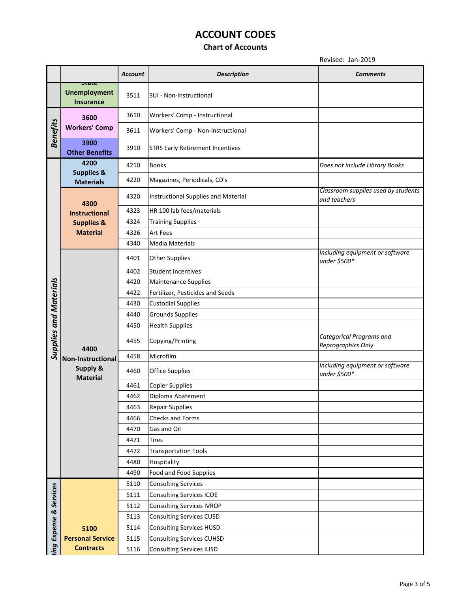### **Chart of Accounts**

|                               |                                                  | <b>Account</b> | <b>Description</b>                      | Comments                                              |
|-------------------------------|--------------------------------------------------|----------------|-----------------------------------------|-------------------------------------------------------|
|                               | state<br><b>Unemployment</b><br><b>Insurance</b> | 3511           | SUI - Non-instructional                 |                                                       |
| <b>Benefits</b>               | 3600<br><b>Workers' Comp</b>                     | 3610           | Workers' Comp - Instructional           |                                                       |
|                               |                                                  | 3611           | Workers' Comp - Non-instructional       |                                                       |
|                               | 3900<br><b>Other Benefits</b>                    | 3910           | <b>STRS Early Retirement Incentives</b> |                                                       |
|                               | 4200                                             | 4210           | <b>Books</b>                            | Does not include Library Books                        |
|                               | <b>Supplies &amp;</b><br><b>Materials</b>        | 4220           | Magazines, Periodicals, CD's            |                                                       |
|                               | 4300                                             | 4320           | Instructional Supplies and Material     | Classroom supplies used by students<br>and teachers   |
|                               | <b>Instructional</b>                             | 4323           | HR 100 lab fees/materials               |                                                       |
|                               | <b>Supplies &amp;</b>                            | 4324           | <b>Training Supplies</b>                |                                                       |
|                               | <b>Material</b>                                  | 4326           | <b>Art Fees</b>                         |                                                       |
|                               |                                                  | 4340           | <b>Media Materials</b>                  |                                                       |
|                               |                                                  | 4401           | <b>Other Supplies</b>                   | Including equipment or software<br>under \$500*       |
|                               |                                                  | 4402           | <b>Student Incentives</b>               |                                                       |
|                               |                                                  | 4420           | <b>Maintenance Supplies</b>             |                                                       |
|                               |                                                  | 4422           | Fertilizer, Pesticides and Seeds        |                                                       |
|                               |                                                  | 4430           | <b>Custodial Supplies</b>               |                                                       |
|                               |                                                  | 4440           | <b>Grounds Supplies</b>                 |                                                       |
|                               |                                                  | 4450           | <b>Health Supplies</b>                  |                                                       |
| <b>Supplies and Materials</b> | 4400                                             | 4455           | Copying/Printing                        | <b>Categorical Programs and</b><br>Reprographics Only |
|                               | Non-Instructional                                | 4458           | Microfilm                               |                                                       |
|                               | <b>Supply &amp;</b><br><b>Material</b>           | 4460           | <b>Office Supplies</b>                  | Including equipment or software<br>under \$500*       |
|                               |                                                  | 4461           | <b>Copier Supplies</b>                  |                                                       |
|                               |                                                  | 4462           | Diploma Abatement                       |                                                       |
|                               |                                                  | 4463           | <b>Repair Supplies</b>                  |                                                       |
|                               |                                                  | 4466           | Checks and Forms                        |                                                       |
|                               |                                                  | 4470           | Gas and Oil                             |                                                       |
|                               |                                                  | 4471           | <b>Tires</b>                            |                                                       |
|                               |                                                  | 4472           | <b>Transportation Tools</b>             |                                                       |
|                               |                                                  | 4480           | Hospitality                             |                                                       |
|                               |                                                  | 4490           | Food and Food Supplies                  |                                                       |
|                               |                                                  | 5110           | <b>Consulting Services</b>              |                                                       |
| ting Expense & Services       |                                                  | 5111           | <b>Consulting Services ICOE</b>         |                                                       |
|                               |                                                  | 5112           | <b>Consulting Services IVROP</b>        |                                                       |
|                               |                                                  | 5113           | <b>Consulting Services CUSD</b>         |                                                       |
|                               | 5100                                             | 5114           | <b>Consulting Services HUSD</b>         |                                                       |
|                               | <b>Personal Service</b>                          | 5115           | <b>Consulting Services CUHSD</b>        |                                                       |
|                               | <b>Contracts</b>                                 | 5116           | <b>Consulting Services IUSD</b>         |                                                       |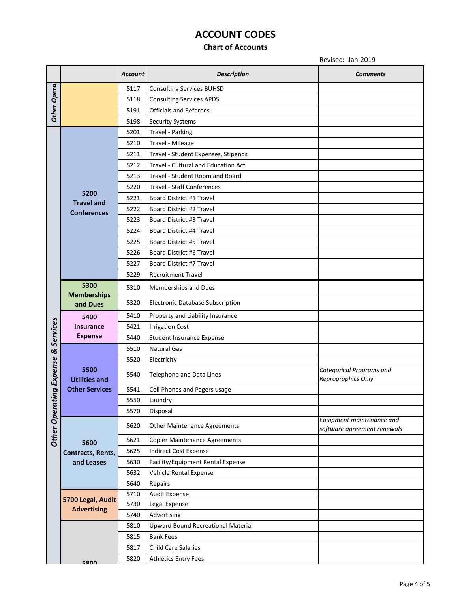### **Chart of Accounts**

|                     |                                                       | <b>Account</b> | <b>Description</b>                         | <b>Comments</b>                                          |
|---------------------|-------------------------------------------------------|----------------|--------------------------------------------|----------------------------------------------------------|
|                     |                                                       | 5117           | <b>Consulting Services BUHSD</b>           |                                                          |
|                     |                                                       | 5118           | <b>Consulting Services APDS</b>            |                                                          |
| Other Opera         |                                                       | 5191           | <b>Officials and Referees</b>              |                                                          |
|                     |                                                       | 5198           | <b>Security Systems</b>                    |                                                          |
|                     |                                                       | 5201           | <b>Travel - Parking</b>                    |                                                          |
|                     |                                                       | 5210           | Travel - Mileage                           |                                                          |
|                     |                                                       | 5211           | Travel - Student Expenses, Stipends        |                                                          |
|                     |                                                       | 5212           | <b>Travel - Cultural and Education Act</b> |                                                          |
|                     |                                                       | 5213           | Travel - Student Room and Board            |                                                          |
|                     |                                                       | 5220           | <b>Travel - Staff Conferences</b>          |                                                          |
|                     | 5200<br><b>Travel and</b>                             | 5221           | Board District #1 Travel                   |                                                          |
|                     | <b>Conferences</b>                                    | 5222           | Board District #2 Travel                   |                                                          |
|                     |                                                       | 5223           | Board District #3 Travel                   |                                                          |
|                     |                                                       | 5224           | Board District #4 Travel                   |                                                          |
|                     |                                                       | 5225           | Board District #5 Travel                   |                                                          |
|                     |                                                       | 5226           | Board District #6 Travel                   |                                                          |
|                     |                                                       | 5227           | Board District #7 Travel                   |                                                          |
|                     |                                                       | 5229           | <b>Recruitment Travel</b>                  |                                                          |
|                     | 5300                                                  | 5310           | <b>Memberships and Dues</b>                |                                                          |
|                     | <b>Memberships</b><br>and Dues                        | 5320           | Electronic Database Subscription           |                                                          |
|                     | 5400<br><b>Insurance</b><br><b>Expense</b>            | 5410           | Property and Liability Insurance           |                                                          |
| Services            |                                                       | 5421           | <b>Irrigation Cost</b>                     |                                                          |
|                     |                                                       | 5440           | Student Insurance Expense                  |                                                          |
|                     | 5500<br><b>Utilities and</b><br><b>Other Services</b> | 5510           | <b>Natural Gas</b>                         |                                                          |
|                     |                                                       | 5520           | Electricity                                |                                                          |
| ing Expense &       |                                                       | 5540           | Telephone and Data Lines                   | Categorical Programs and<br>Reprographics Only           |
|                     |                                                       | 5541           | Cell Phones and Pagers usage               |                                                          |
|                     |                                                       | 5550           | Laundry                                    |                                                          |
|                     |                                                       | 5570           | Disposal                                   |                                                          |
| <b>Other Operat</b> |                                                       | 5620           | <b>Other Maintenance Agreements</b>        | Equipment maintenance and<br>software agreement renewals |
|                     | 5600                                                  | 5621           | <b>Copier Maintenance Agreements</b>       |                                                          |
|                     | Contracts, Rents,                                     | 5625           | Indirect Cost Expense                      |                                                          |
|                     | and Leases                                            | 5630           | Facility/Equipment Rental Expense          |                                                          |
|                     |                                                       | 5632           | Vehicle Rental Expense                     |                                                          |
|                     |                                                       | 5640           | Repairs                                    |                                                          |
|                     | 5700 Legal, Audit<br><b>Advertising</b>               | 5710           | <b>Audit Expense</b>                       |                                                          |
|                     |                                                       | 5730           | Legal Expense                              |                                                          |
|                     |                                                       | 5740           | Advertising                                |                                                          |
|                     |                                                       | 5810           | Upward Bound Recreational Material         |                                                          |
|                     |                                                       | 5815           | <b>Bank Fees</b>                           |                                                          |
|                     |                                                       | 5817           | <b>Child Care Salaries</b>                 |                                                          |
|                     | 5800                                                  | 5820           | <b>Athletics Entry Fees</b>                |                                                          |